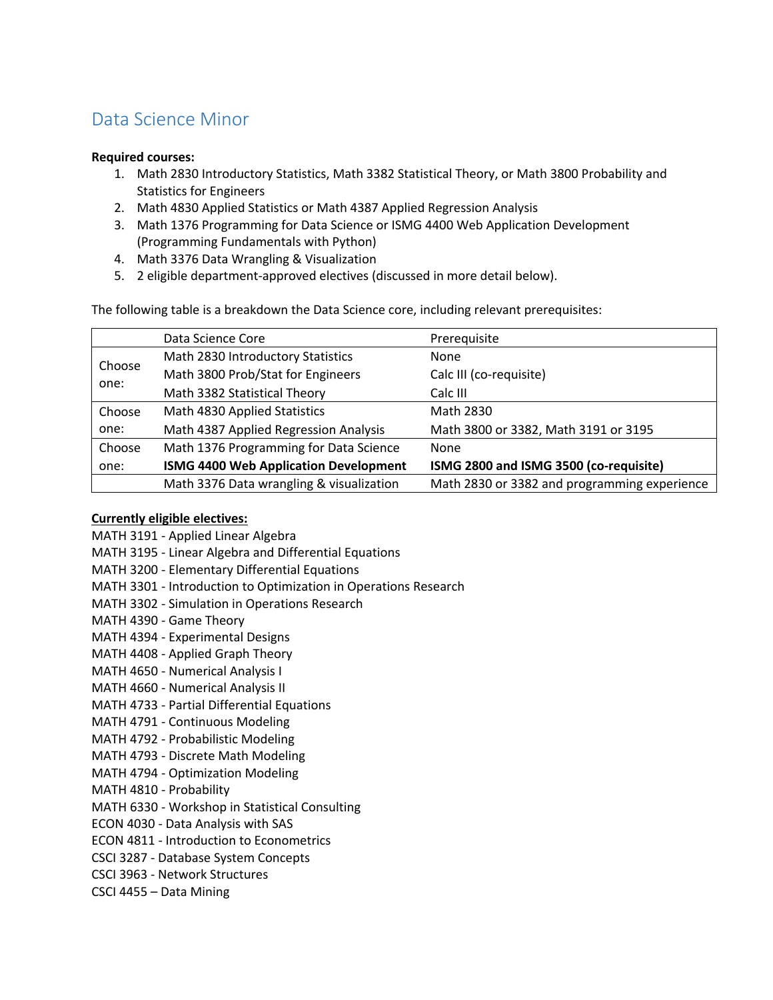## Data Science Minor

## **Required courses:**

- 1. Math 2830 Introductory Statistics, Math 3382 Statistical Theory, or Math 3800 Probability and Statistics for Engineers
- 2. Math 4830 Applied Statistics or Math 4387 Applied Regression Analysis
- 3. Math 1376 Programming for Data Science or ISMG 4400 Web Application Development (Programming Fundamentals with Python)
- 4. Math 3376 Data Wrangling & Visualization
- 5. 2 eligible department-approved electives (discussed in more detail below).

The following table is a breakdown the Data Science core, including relevant prerequisites:

|                | Data Science Core                        | Prerequisite                                 |
|----------------|------------------------------------------|----------------------------------------------|
| Choose<br>one: | Math 2830 Introductory Statistics        | <b>None</b>                                  |
|                | Math 3800 Prob/Stat for Engineers        | Calc III (co-requisite)                      |
|                | Math 3382 Statistical Theory             | Calc III                                     |
| Choose         | Math 4830 Applied Statistics             | Math 2830                                    |
| one:           | Math 4387 Applied Regression Analysis    | Math 3800 or 3382, Math 3191 or 3195         |
| Choose         | Math 1376 Programming for Data Science   | None                                         |
| one:           | ISMG 4400 Web Application Development    | ISMG 2800 and ISMG 3500 (co-requisite)       |
|                | Math 3376 Data wrangling & visualization | Math 2830 or 3382 and programming experience |

## **Currently eligible electives:**

MATH 3191 - Applied Linear Algebra MATH 3195 - Linear Algebra and Differential Equations MATH 3200 - Elementary Differential Equations MATH 3301 - Introduction to Optimization in Operations Research MATH 3302 - Simulation in Operations Research MATH 4390 - Game Theory MATH 4394 - Experimental Designs MATH 4408 - Applied Graph Theory MATH 4650 - Numerical Analysis I MATH 4660 - Numerical Analysis II MATH 4733 - Partial Differential Equations MATH 4791 - Continuous Modeling MATH 4792 - Probabilistic Modeling MATH 4793 - Discrete Math Modeling MATH 4794 - Optimization Modeling MATH 4810 - Probability MATH 6330 - Workshop in Statistical Consulting ECON 4030 - Data Analysis with SAS ECON 4811 - Introduction to Econometrics CSCI 3287 - Database System Concepts CSCI 3963 - Network Structures CSCI 4455 – Data Mining